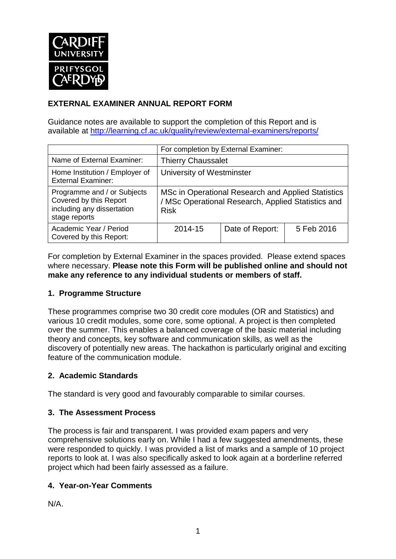

# **EXTERNAL EXAMINER ANNUAL REPORT FORM**

Guidance notes are available to support the completion of this Report and is available at <http://learning.cf.ac.uk/quality/review/external-examiners/reports/>

|                                                                                                      | For completion by External Examiner:                                                                                    |                 |            |  |
|------------------------------------------------------------------------------------------------------|-------------------------------------------------------------------------------------------------------------------------|-----------------|------------|--|
| Name of External Examiner:                                                                           | <b>Thierry Chaussalet</b>                                                                                               |                 |            |  |
| Home Institution / Employer of<br><b>External Examiner:</b>                                          | University of Westminster                                                                                               |                 |            |  |
| Programme and / or Subjects<br>Covered by this Report<br>including any dissertation<br>stage reports | MSc in Operational Research and Applied Statistics<br>/ MSc Operational Research, Applied Statistics and<br><b>Risk</b> |                 |            |  |
| Academic Year / Period<br>Covered by this Report:                                                    | 2014-15                                                                                                                 | Date of Report: | 5 Feb 2016 |  |

For completion by External Examiner in the spaces provided. Please extend spaces where necessary. **Please note this Form will be published online and should not make any reference to any individual students or members of staff.**

### **1. Programme Structure**

These programmes comprise two 30 credit core modules (OR and Statistics) and various 10 credit modules, some core, some optional. A project is then completed over the summer. This enables a balanced coverage of the basic material including theory and concepts, key software and communication skills, as well as the discovery of potentially new areas. The hackathon is particularly original and exciting feature of the communication module.

### **2. Academic Standards**

The standard is very good and favourably comparable to similar courses.

### **3. The Assessment Process**

The process is fair and transparent. I was provided exam papers and very comprehensive solutions early on. While I had a few suggested amendments, these were responded to quickly. I was provided a list of marks and a sample of 10 project reports to look at. I was also specifically asked to look again at a borderline referred project which had been fairly assessed as a failure.

## **4. Year-on-Year Comments**

N/A.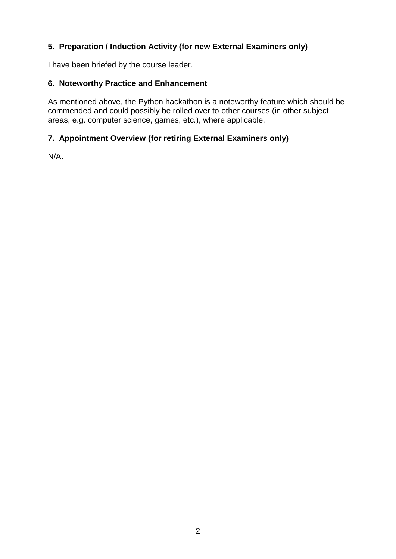# **5. Preparation / Induction Activity (for new External Examiners only)**

I have been briefed by the course leader.

## **6. Noteworthy Practice and Enhancement**

As mentioned above, the Python hackathon is a noteworthy feature which should be commended and could possibly be rolled over to other courses (in other subject areas, e.g. computer science, games, etc.), where applicable.

## **7. Appointment Overview (for retiring External Examiners only)**

N/A.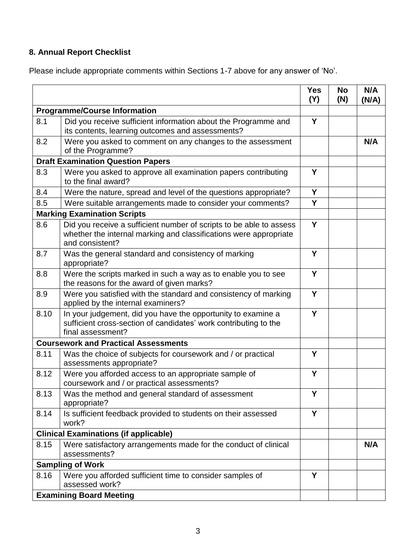# **8. Annual Report Checklist**

Please include appropriate comments within Sections 1-7 above for any answer of 'No'.

|                                          |                                                                                                                                                             | <b>Yes</b><br>(Y) | <b>No</b><br>(N) | N/A<br>(N/A) |
|------------------------------------------|-------------------------------------------------------------------------------------------------------------------------------------------------------------|-------------------|------------------|--------------|
| <b>Programme/Course Information</b>      |                                                                                                                                                             |                   |                  |              |
| 8.1                                      | Did you receive sufficient information about the Programme and<br>its contents, learning outcomes and assessments?                                          | Y                 |                  |              |
| 8.2                                      | Were you asked to comment on any changes to the assessment<br>of the Programme?                                                                             |                   |                  | N/A          |
| <b>Draft Examination Question Papers</b> |                                                                                                                                                             |                   |                  |              |
| 8.3                                      | Were you asked to approve all examination papers contributing<br>to the final award?                                                                        | Y                 |                  |              |
| 8.4                                      | Were the nature, spread and level of the questions appropriate?                                                                                             | Y                 |                  |              |
| 8.5                                      | Were suitable arrangements made to consider your comments?                                                                                                  | Y                 |                  |              |
|                                          | <b>Marking Examination Scripts</b>                                                                                                                          |                   |                  |              |
| 8.6                                      | Did you receive a sufficient number of scripts to be able to assess<br>whether the internal marking and classifications were appropriate<br>and consistent? | Y                 |                  |              |
| 8.7                                      | Was the general standard and consistency of marking<br>appropriate?                                                                                         | Y                 |                  |              |
| 8.8                                      | Were the scripts marked in such a way as to enable you to see<br>the reasons for the award of given marks?                                                  | Y                 |                  |              |
| 8.9                                      | Were you satisfied with the standard and consistency of marking<br>applied by the internal examiners?                                                       | Y                 |                  |              |
| 8.10                                     | In your judgement, did you have the opportunity to examine a<br>sufficient cross-section of candidates' work contributing to the<br>final assessment?       | Y                 |                  |              |
|                                          | <b>Coursework and Practical Assessments</b>                                                                                                                 |                   |                  |              |
| 8.11                                     | Was the choice of subjects for coursework and / or practical<br>assessments appropriate?                                                                    | Y                 |                  |              |
| 8.12                                     | Were you afforded access to an appropriate sample of<br>coursework and / or practical assessments?                                                          | Y                 |                  |              |
| 8.13                                     | Was the method and general standard of assessment<br>appropriate?                                                                                           | Y                 |                  |              |
| 8.14                                     | Is sufficient feedback provided to students on their assessed<br>work?                                                                                      | Y                 |                  |              |
|                                          | <b>Clinical Examinations (if applicable)</b>                                                                                                                |                   |                  |              |
| 8.15                                     | Were satisfactory arrangements made for the conduct of clinical<br>assessments?                                                                             |                   |                  | N/A          |
|                                          | <b>Sampling of Work</b>                                                                                                                                     |                   |                  |              |
| 8.16                                     | Were you afforded sufficient time to consider samples of<br>assessed work?                                                                                  | Y                 |                  |              |
|                                          | <b>Examining Board Meeting</b>                                                                                                                              |                   |                  |              |